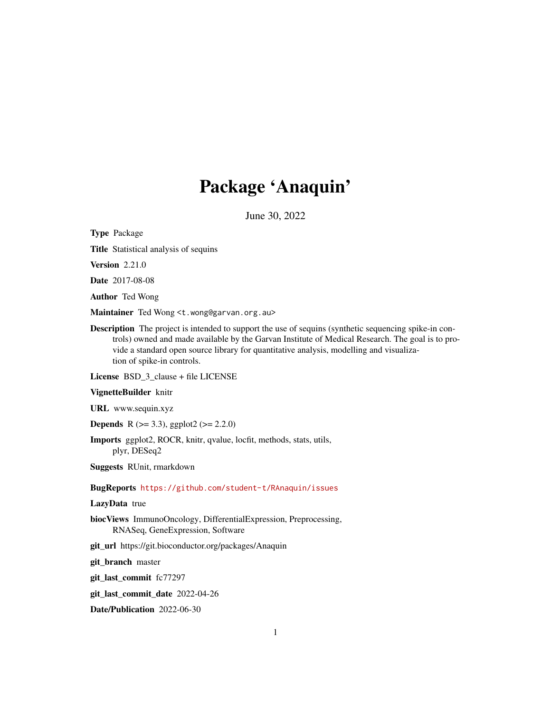# Package 'Anaquin'

June 30, 2022

Type Package

Title Statistical analysis of sequins

Version 2.21.0

Date 2017-08-08

Author Ted Wong

Maintainer Ted Wong <t.wong@garvan.org.au>

Description The project is intended to support the use of sequins (synthetic sequencing spike-in controls) owned and made available by the Garvan Institute of Medical Research. The goal is to provide a standard open source library for quantitative analysis, modelling and visualization of spike-in controls.

License BSD\_3\_clause + file LICENSE

#### VignetteBuilder knitr

URL www.sequin.xyz

**Depends** R ( $>= 3.3$ ), ggplot2 ( $>= 2.2.0$ )

Imports ggplot2, ROCR, knitr, qvalue, locfit, methods, stats, utils, plyr, DESeq2

Suggests RUnit, rmarkdown

#### BugReports <https://github.com/student-t/RAnaquin/issues>

#### LazyData true

biocViews ImmunoOncology, DifferentialExpression, Preprocessing, RNASeq, GeneExpression, Software

git\_url https://git.bioconductor.org/packages/Anaquin

git\_branch master

git\_last\_commit fc77297

git\_last\_commit\_date 2022-04-26

Date/Publication 2022-06-30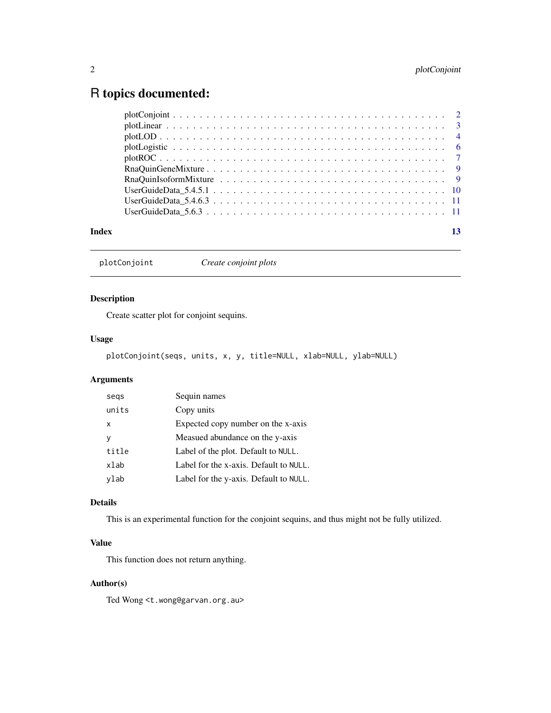## <span id="page-1-0"></span>R topics documented:

| Index |  |
|-------|--|

plotConjoint *Create conjoint plots*

#### Description

Create scatter plot for conjoint sequins.

#### Usage

plotConjoint(seqs, units, x, y, title=NULL, xlab=NULL, ylab=NULL)

#### Arguments

| segs  | Sequin names                           |
|-------|----------------------------------------|
| units | Copy units                             |
| X     | Expected copy number on the x-axis     |
|       | Measued abundance on the y-axis        |
| title | Label of the plot. Default to NULL.    |
| xlab  | Label for the x-axis. Default to NULL. |
| ylab  | Label for the y-axis. Default to NULL. |

#### Details

This is an experimental function for the conjoint sequins, and thus might not be fully utilized.

#### Value

This function does not return anything.

#### Author(s)

Ted Wong <t.wong@garvan.org.au>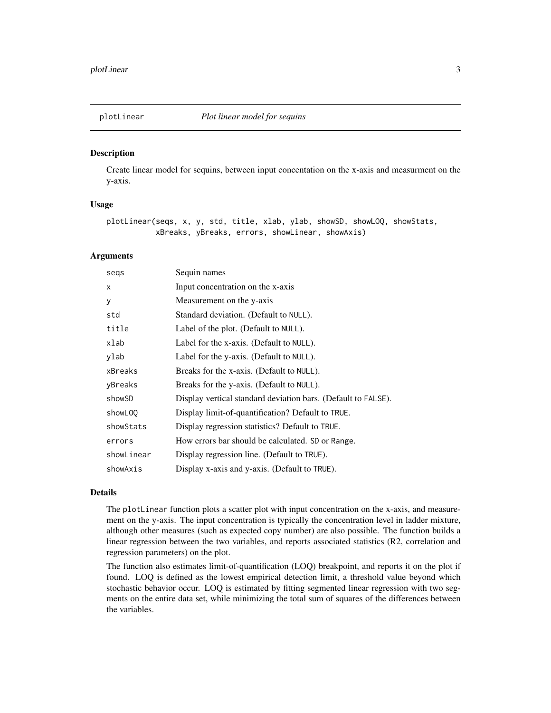<span id="page-2-0"></span>

#### Description

Create linear model for sequins, between input concentation on the x-axis and measurment on the y-axis.

#### Usage

plotLinear(seqs, x, y, std, title, xlab, ylab, showSD, showLOQ, showStats, xBreaks, yBreaks, errors, showLinear, showAxis)

#### **Arguments**

| segs       | Sequin names                                                  |
|------------|---------------------------------------------------------------|
| X          | Input concentration on the x-axis                             |
| у          | Measurement on the y-axis                                     |
| std        | Standard deviation. (Default to NULL).                        |
| title      | Label of the plot. (Default to NULL).                         |
| xlab       | Label for the x-axis. (Default to NULL).                      |
| ylab       | Label for the y-axis. (Default to NULL).                      |
| xBreaks    | Breaks for the x-axis. (Default to NULL).                     |
| yBreaks    | Breaks for the y-axis. (Default to NULL).                     |
| showSD     | Display vertical standard deviation bars. (Default to FALSE). |
| showL00    | Display limit-of-quantification? Default to TRUE.             |
| showStats  | Display regression statistics? Default to TRUE.               |
| errors     | How errors bar should be calculated. SD or Range.             |
| showLinear | Display regression line. (Default to TRUE).                   |
| showAxis   | Display x-axis and y-axis. (Default to TRUE).                 |
|            |                                                               |

#### Details

The plotLinear function plots a scatter plot with input concentration on the x-axis, and measurement on the y-axis. The input concentration is typically the concentration level in ladder mixture, although other measures (such as expected copy number) are also possible. The function builds a linear regression between the two variables, and reports associated statistics (R2, correlation and regression parameters) on the plot.

The function also estimates limit-of-quantification (LOQ) breakpoint, and reports it on the plot if found. LOQ is defined as the lowest empirical detection limit, a threshold value beyond which stochastic behavior occur. LOQ is estimated by fitting segmented linear regression with two segments on the entire data set, while minimizing the total sum of squares of the differences between the variables.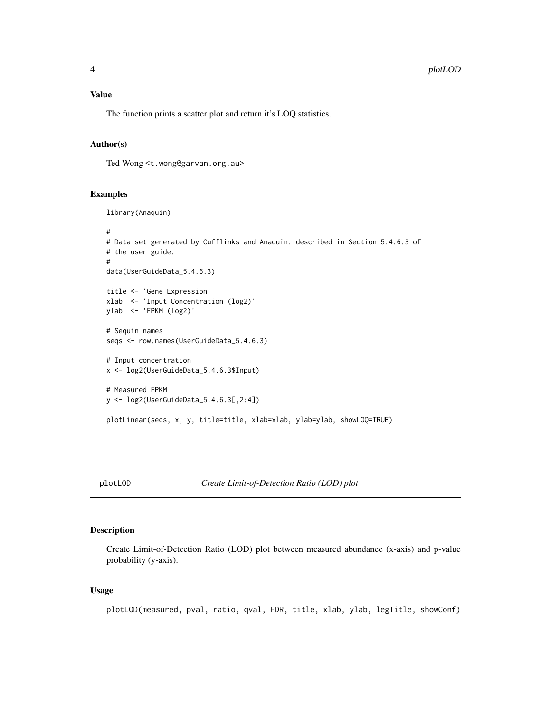#### <span id="page-3-0"></span>Value

The function prints a scatter plot and return it's LOQ statistics.

#### Author(s)

Ted Wong <t.wong@garvan.org.au>

#### Examples

```
library(Anaquin)
#
# Data set generated by Cufflinks and Anaquin. described in Section 5.4.6.3 of
# the user guide.
#
data(UserGuideData_5.4.6.3)
title <- 'Gene Expression'
xlab <- 'Input Concentration (log2)'
ylab <- 'FPKM (log2)'
# Sequin names
seqs <- row.names(UserGuideData_5.4.6.3)
# Input concentration
x <- log2(UserGuideData_5.4.6.3$Input)
# Measured FPKM
y <- log2(UserGuideData_5.4.6.3[,2:4])
plotLinear(seqs, x, y, title=title, xlab=xlab, ylab=ylab, showLOQ=TRUE)
```
plotLOD *Create Limit-of-Detection Ratio (LOD) plot*

#### Description

Create Limit-of-Detection Ratio (LOD) plot between measured abundance (x-axis) and p-value probability (y-axis).

#### Usage

plotLOD(measured, pval, ratio, qval, FDR, title, xlab, ylab, legTitle, showConf)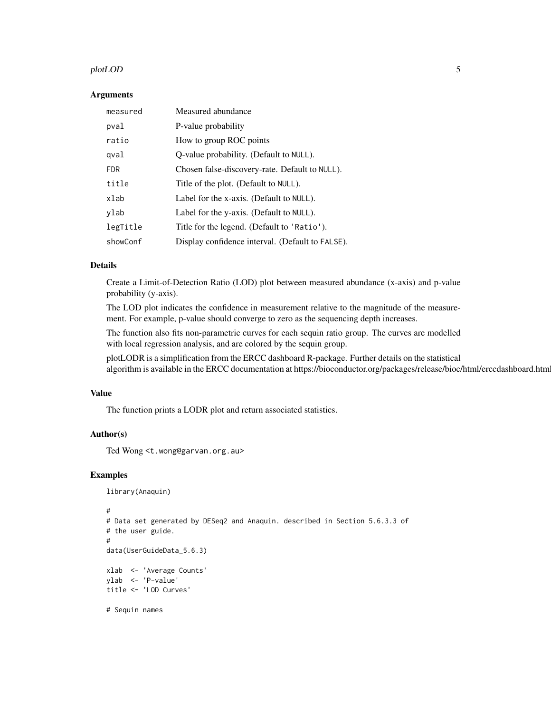#### plotLOD 5

#### Arguments

| measured   | Measured abundance                               |  |
|------------|--------------------------------------------------|--|
| pval       | P-value probability                              |  |
| ratio      | How to group ROC points                          |  |
| gval       | Q-value probability. (Default to NULL).          |  |
| <b>FDR</b> | Chosen false-discovery-rate. Default to NULL).   |  |
| title      | Title of the plot. (Default to NULL).            |  |
| xlab       | Label for the x-axis. (Default to NULL).         |  |
| ylab       | Label for the y-axis. (Default to NULL).         |  |
| legTitle   | Title for the legend. (Default to 'Ratio').      |  |
| showConf   | Display confidence interval. (Default to FALSE). |  |

#### Details

Create a Limit-of-Detection Ratio (LOD) plot between measured abundance (x-axis) and p-value probability (y-axis).

The LOD plot indicates the confidence in measurement relative to the magnitude of the measurement. For example, p-value should converge to zero as the sequencing depth increases.

The function also fits non-parametric curves for each sequin ratio group. The curves are modelled with local regression analysis, and are colored by the sequin group.

plotLODR is a simplification from the ERCC dashboard R-package. Further details on the statistical algorithm is available in the ERCC documentation at https://bioconductor.org/packages/release/bioc/html/erccdashboard.html.

#### Value

The function prints a LODR plot and return associated statistics.

#### Author(s)

Ted Wong <t.wong@garvan.org.au>

#### Examples

```
library(Anaquin)
```

```
#
# Data set generated by DESeq2 and Anaquin. described in Section 5.6.3.3 of
# the user guide.
#
data(UserGuideData_5.6.3)
xlab <- 'Average Counts'
ylab <- 'P-value'
title <- 'LOD Curves'
# Sequin names
```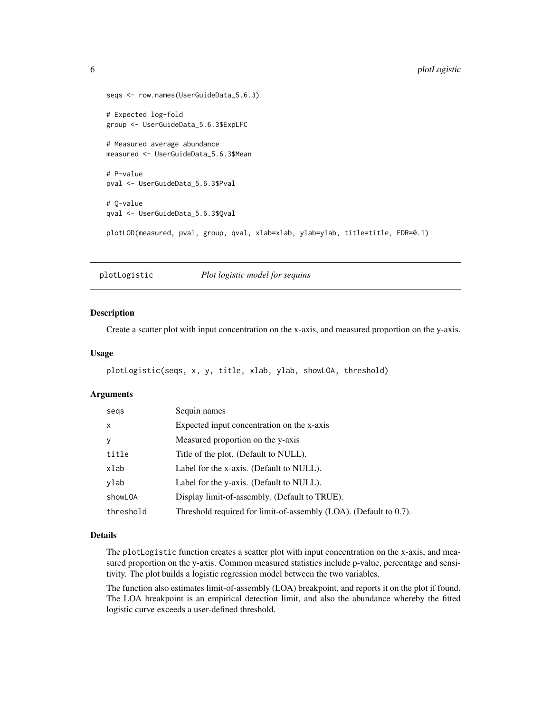```
seqs <- row.names(UserGuideData_5.6.3)
# Expected log-fold
group <- UserGuideData_5.6.3$ExpLFC
# Measured average abundance
measured <- UserGuideData_5.6.3$Mean
# P-value
pval <- UserGuideData_5.6.3$Pval
# Q-value
qval <- UserGuideData_5.6.3$Qval
plotLOD(measured, pval, group, qval, xlab=xlab, ylab=ylab, title=title, FDR=0.1)
```
plotLogistic *Plot logistic model for sequins*

#### Description

Create a scatter plot with input concentration on the x-axis, and measured proportion on the y-axis.

#### Usage

```
plotLogistic(seqs, x, y, title, xlab, ylab, showLOA, threshold)
```
#### Arguments

| segs      | Sequin names                                                      |
|-----------|-------------------------------------------------------------------|
| x         | Expected input concentration on the x-axis                        |
| у         | Measured proportion on the y-axis                                 |
| title     | Title of the plot. (Default to NULL).                             |
| xlab      | Label for the x-axis. (Default to NULL).                          |
| ylab      | Label for the y-axis. (Default to NULL).                          |
| showL0A   | Display limit-of-assembly. (Default to TRUE).                     |
| threshold | Threshold required for limit-of-assembly (LOA). (Default to 0.7). |

#### Details

The plotLogistic function creates a scatter plot with input concentration on the x-axis, and measured proportion on the y-axis. Common measured statistics include p-value, percentage and sensitivity. The plot builds a logistic regression model between the two variables.

The function also estimates limit-of-assembly (LOA) breakpoint, and reports it on the plot if found. The LOA breakpoint is an empirical detection limit, and also the abundance whereby the fitted logistic curve exceeds a user-defined threshold.

<span id="page-5-0"></span>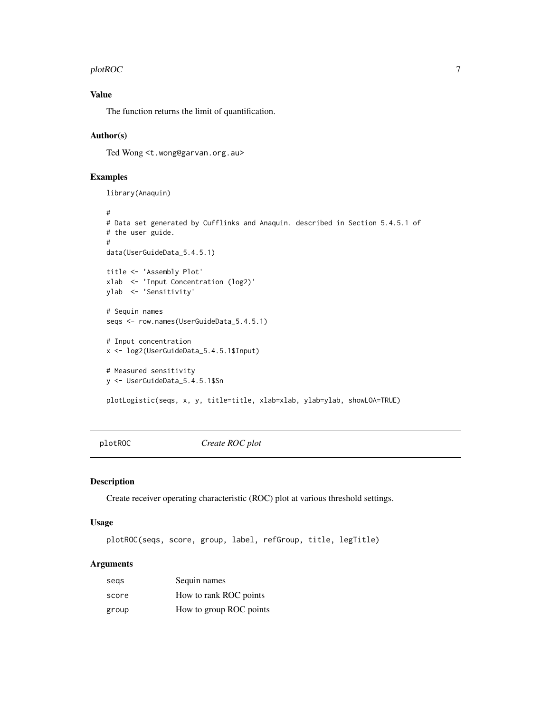#### <span id="page-6-0"></span> $p$ lotROC  $\qquad \qquad$  7

#### Value

The function returns the limit of quantification.

#### Author(s)

Ted Wong <t.wong@garvan.org.au>

#### Examples

```
library(Anaquin)
```

```
#
# Data set generated by Cufflinks and Anaquin. described in Section 5.4.5.1 of
# the user guide.
#
data(UserGuideData_5.4.5.1)
title <- 'Assembly Plot'
xlab <- 'Input Concentration (log2)'
ylab <- 'Sensitivity'
# Sequin names
seqs <- row.names(UserGuideData_5.4.5.1)
# Input concentration
x <- log2(UserGuideData_5.4.5.1$Input)
# Measured sensitivity
y <- UserGuideData_5.4.5.1$Sn
plotLogistic(seqs, x, y, title=title, xlab=xlab, ylab=ylab, showLOA=TRUE)
```
plotROC *Create ROC plot*

#### Description

Create receiver operating characteristic (ROC) plot at various threshold settings.

#### Usage

plotROC(seqs, score, group, label, refGroup, title, legTitle)

#### Arguments

| segs  | Sequin names            |
|-------|-------------------------|
| score | How to rank ROC points  |
| group | How to group ROC points |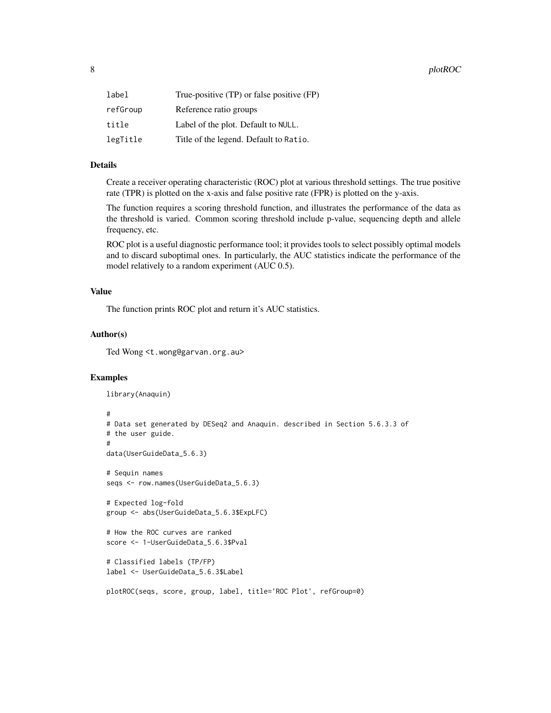| label    | True-positive (TP) or false positive (FP) |
|----------|-------------------------------------------|
| refGroup | Reference ratio groups                    |
| title    | Label of the plot. Default to NULL.       |
| legTitle | Title of the legend. Default to Ratio.    |

#### Details

Create a receiver operating characteristic (ROC) plot at various threshold settings. The true positive rate (TPR) is plotted on the x-axis and false positive rate (FPR) is plotted on the y-axis.

The function requires a scoring threshold function, and illustrates the performance of the data as the threshold is varied. Common scoring threshold include p-value, sequencing depth and allele frequency, etc.

ROC plot is a useful diagnostic performance tool; it provides tools to select possibly optimal models and to discard suboptimal ones. In particularly, the AUC statistics indicate the performance of the model relatively to a random experiment (AUC 0.5).

#### Value

The function prints ROC plot and return it's AUC statistics.

#### Author(s)

Ted Wong <t.wong@garvan.org.au>

#### Examples

```
library(Anaquin)
```

```
#
# Data set generated by DESeq2 and Anaquin. described in Section 5.6.3.3 of
# the user guide.
#
data(UserGuideData_5.6.3)
# Sequin names
seqs <- row.names(UserGuideData_5.6.3)
# Expected log-fold
group <- abs(UserGuideData_5.6.3$ExpLFC)
# How the ROC curves are ranked
score <- 1-UserGuideData_5.6.3$Pval
# Classified labels (TP/FP)
label <- UserGuideData_5.6.3$Label
plotROC(seqs, score, group, label, title='ROC Plot', refGroup=0)
```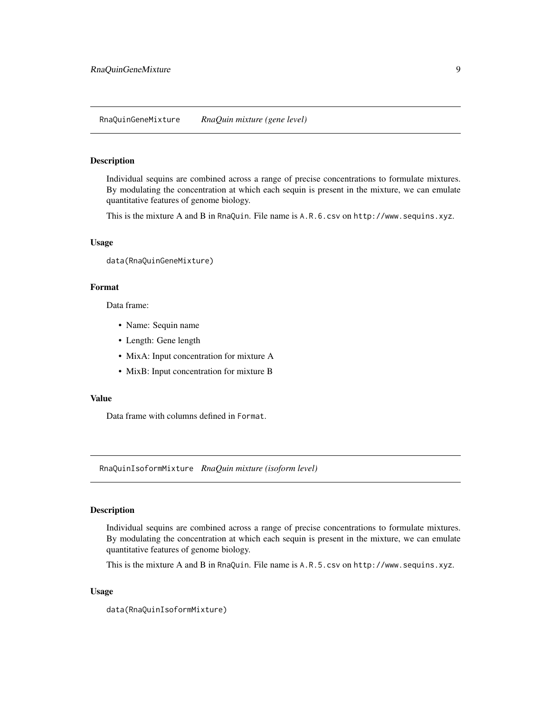#### <span id="page-8-0"></span>Description

Individual sequins are combined across a range of precise concentrations to formulate mixtures. By modulating the concentration at which each sequin is present in the mixture, we can emulate quantitative features of genome biology.

This is the mixture A and B in RnaQuin. File name is A.R.6.csv on http://www.sequins.xyz.

#### Usage

data(RnaQuinGeneMixture)

#### Format

Data frame:

- Name: Sequin name
- Length: Gene length
- MixA: Input concentration for mixture A
- MixB: Input concentration for mixture B

#### Value

Data frame with columns defined in Format.

RnaQuinIsoformMixture *RnaQuin mixture (isoform level)*

#### Description

Individual sequins are combined across a range of precise concentrations to formulate mixtures. By modulating the concentration at which each sequin is present in the mixture, we can emulate quantitative features of genome biology.

This is the mixture A and B in RnaQuin. File name is A.R.5.csv on http://www.sequins.xyz.

#### Usage

data(RnaQuinIsoformMixture)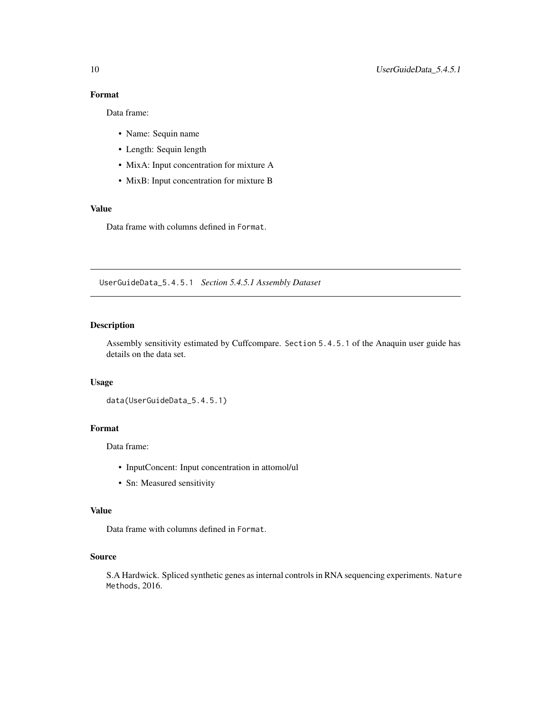#### <span id="page-9-0"></span>Format

Data frame:

- Name: Sequin name
- Length: Sequin length
- MixA: Input concentration for mixture A
- MixB: Input concentration for mixture B

#### Value

Data frame with columns defined in Format.

UserGuideData\_5.4.5.1 *Section 5.4.5.1 Assembly Dataset*

#### Description

Assembly sensitivity estimated by Cuffcompare. Section 5.4.5.1 of the Anaquin user guide has details on the data set.

#### Usage

```
data(UserGuideData_5.4.5.1)
```
#### Format

Data frame:

- InputConcent: Input concentration in attomol/ul
- Sn: Measured sensitivity

#### Value

Data frame with columns defined in Format.

#### Source

S.A Hardwick. Spliced synthetic genes as internal controls in RNA sequencing experiments. Nature Methods, 2016.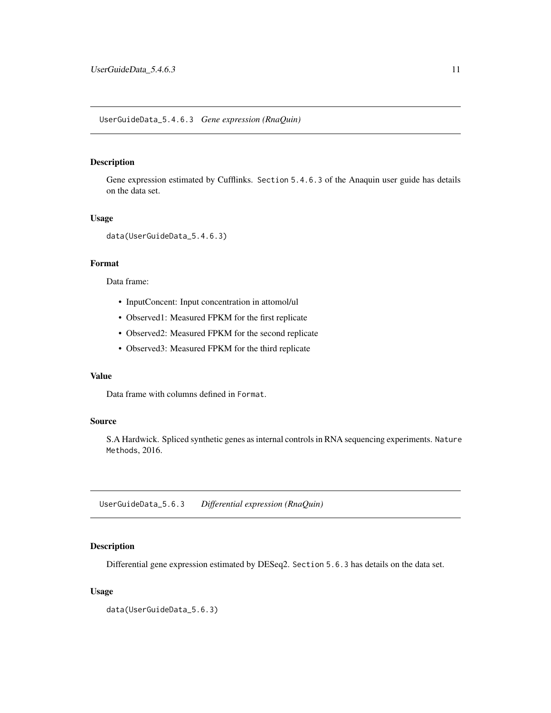#### <span id="page-10-0"></span>UserGuideData\_5.4.6.3 *Gene expression (RnaQuin)*

#### Description

Gene expression estimated by Cufflinks. Section 5.4.6.3 of the Anaquin user guide has details on the data set.

#### Usage

```
data(UserGuideData_5.4.6.3)
```
#### Format

Data frame:

- InputConcent: Input concentration in attomol/ul
- Observed1: Measured FPKM for the first replicate
- Observed2: Measured FPKM for the second replicate
- Observed3: Measured FPKM for the third replicate

#### Value

Data frame with columns defined in Format.

#### Source

S.A Hardwick. Spliced synthetic genes as internal controls in RNA sequencing experiments. Nature Methods, 2016.

UserGuideData\_5.6.3 *Differential expression (RnaQuin)*

#### Description

Differential gene expression estimated by DESeq2. Section 5.6.3 has details on the data set.

#### Usage

data(UserGuideData\_5.6.3)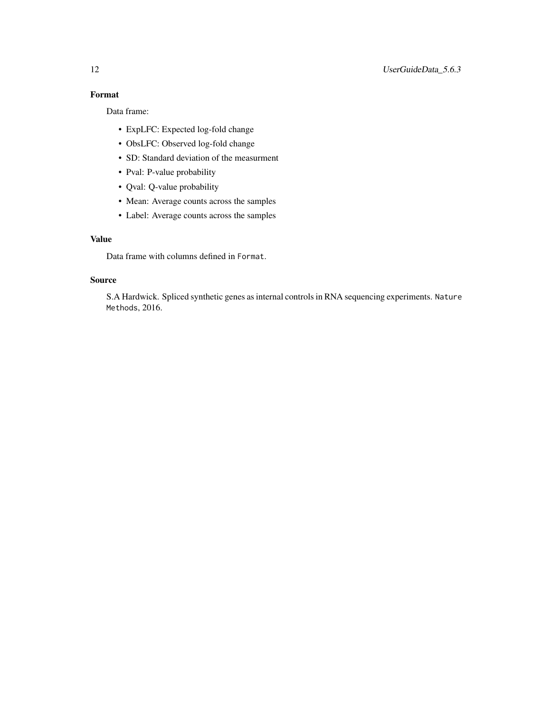### Format

Data frame:

- ExpLFC: Expected log-fold change
- ObsLFC: Observed log-fold change
- SD: Standard deviation of the measurment
- Pval: P-value probability
- Qval: Q-value probability
- Mean: Average counts across the samples
- Label: Average counts across the samples

#### Value

Data frame with columns defined in Format.

#### Source

S.A Hardwick. Spliced synthetic genes as internal controls in RNA sequencing experiments. Nature Methods, 2016.